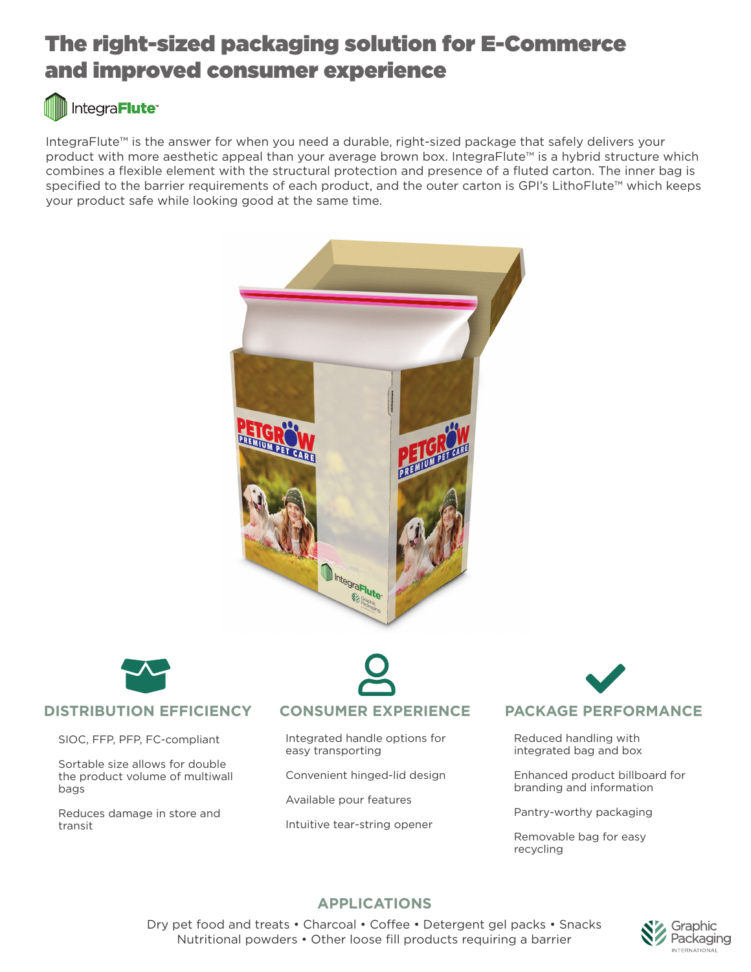# The right-sized packaging solution for E-Commerce and improved consumer experience

# Integra**Flute**<sup>®</sup>

IntegraFlute™ is the answer for when you need a durable, right-sized package that safely delivers your product with more aesthetic appeal than your average brown box. IntegraFlute™ is a hybrid structure which combines a flexible element with the structural protection and presence of a fluted carton. The inner bag is specified to the barrier requirements of each product, and the outer carton is GPI's LithoFlute™ which keeps your product safe while looking good at the same time.





# **DISTRIBUTION EFFICIENCY CONSUMER EXPERIENCE PACKAGE PERFORMANCE**

SIOC, FFP, PFP, FC-compliant

Sortable size allows for double the product volume of multiwall bags

Reduces damage in store and transit

Integrated handle options for easy transporting

Convenient hinged-lid design

Available pour features

Intuitive tear-string opener

Reduced handling with integrated bag and box

Enhanced product billboard for branding and information

Pantry-worthy packaging

Removable bag for easy recycling

# **APPLICATIONS**

Dry pet food and treats • Charcoal • Coffee • Detergent gel packs • Snacks Nutritional powders • Other loose fill products requiring a barrier